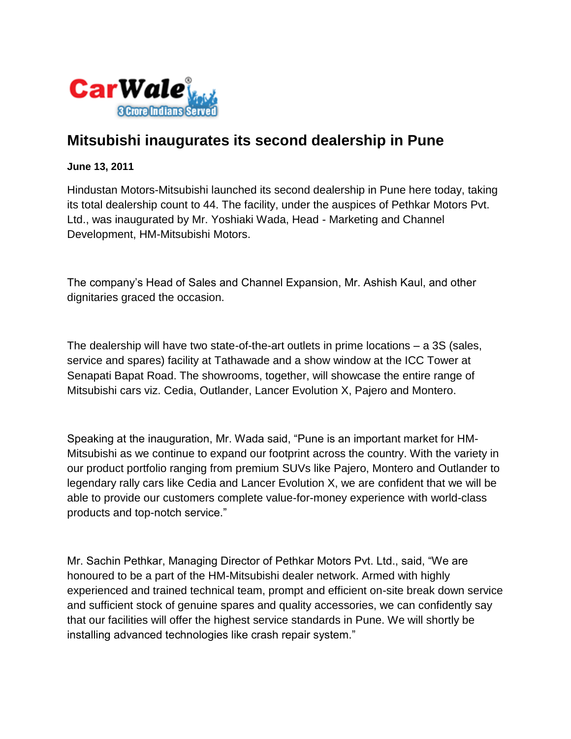

## **Mitsubishi inaugurates its second dealership in Pune**

## **June 13, 2011**

Hindustan Motors-Mitsubishi launched its second dealership in Pune here today, taking its total dealership count to 44. The facility, under the auspices of Pethkar Motors Pvt. Ltd., was inaugurated by Mr. Yoshiaki Wada, Head - Marketing and Channel Development, HM-Mitsubishi Motors.

The company's Head of Sales and Channel Expansion, Mr. Ashish Kaul, and other dignitaries graced the occasion.

The dealership will have two state-of-the-art outlets in prime locations – a 3S (sales, service and spares) facility at Tathawade and a show window at the ICC Tower at Senapati Bapat Road. The showrooms, together, will showcase the entire range of Mitsubishi cars viz. Cedia, Outlander, Lancer Evolution X, Pajero and Montero.

Speaking at the inauguration, Mr. Wada said, "Pune is an important market for HM-Mitsubishi as we continue to expand our footprint across the country. With the variety in our product portfolio ranging from premium SUVs like Pajero, Montero and Outlander to legendary rally cars like Cedia and Lancer Evolution X, we are confident that we will be able to provide our customers complete value-for-money experience with world-class products and top-notch service."

Mr. Sachin Pethkar, Managing Director of Pethkar Motors Pvt. Ltd., said, "We are honoured to be a part of the HM-Mitsubishi dealer network. Armed with highly experienced and trained technical team, prompt and efficient on-site break down service and sufficient stock of genuine spares and quality accessories, we can confidently say that our facilities will offer the highest service standards in Pune. We will shortly be installing advanced technologies like crash repair system."